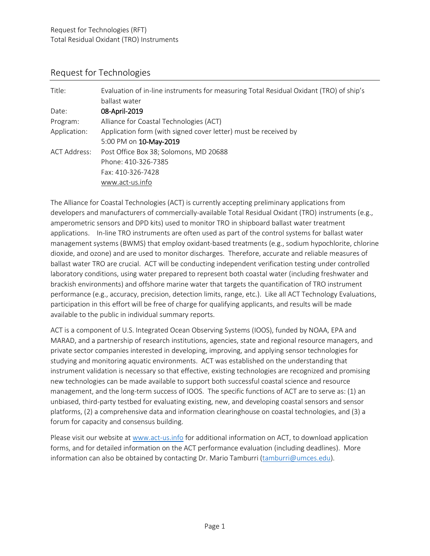#### Request for Technologies

| Title:       | Evaluation of in-line instruments for measuring Total Residual Oxidant (TRO) of ship's<br>ballast water |
|--------------|---------------------------------------------------------------------------------------------------------|
| Date:        | 08-April-2019                                                                                           |
| Program:     | Alliance for Coastal Technologies (ACT)                                                                 |
| Application: | Application form (with signed cover letter) must be received by                                         |
|              | 5:00 PM on 10-May-2019                                                                                  |
| ACT Address: | Post Office Box 38; Solomons, MD 20688                                                                  |
|              | Phone: 410-326-7385                                                                                     |
|              | Fax: 410-326-7428                                                                                       |
|              | www.act-us.info                                                                                         |

The Alliance for Coastal Technologies (ACT) is currently accepting preliminary applications from developers and manufacturers of commercially-available Total Residual Oxidant (TRO) instruments (e.g., amperometric sensors and DPD kits) used to monitor TRO in shipboard ballast water treatment applications. In-line TRO instruments are often used as part of the control systems for ballast water management systems (BWMS) that employ oxidant-based treatments (e.g., sodium hypochlorite, chlorine dioxide, and ozone) and are used to monitor discharges. Therefore, accurate and reliable measures of ballast water TRO are crucial. ACT will be conducting independent verification testing under controlled laboratory conditions, using water prepared to represent both coastal water (including freshwater and brackish environments) and offshore marine water that targets the quantification of TRO instrument performance (e.g., accuracy, precision, detection limits, range, etc.). Like all ACT Technology Evaluations, participation in this effort will be free of charge for qualifying applicants, and results will be made available to the public in individual summary reports.

ACT is a component of U.S. Integrated Ocean Observing Systems (IOOS), funded by NOAA, EPA and MARAD, and a partnership of research institutions, agencies, state and regional resource managers, and private sector companies interested in developing, improving, and applying sensor technologies for studying and monitoring aquatic environments. ACT was established on the understanding that instrument validation is necessary so that effective, existing technologies are recognized and promising new technologies can be made available to support both successful coastal science and resource management, and the long-term success of IOOS. The specific functions of ACT are to serve as: (1) an unbiased, third-party testbed for evaluating existing, new, and developing coastal sensors and sensor platforms, (2) a comprehensive data and information clearinghouse on coastal technologies, and (3) a forum for capacity and consensus building.

Please visit our website at [www.act-us.info](http://www.act-us.info/) for additional information on ACT, to download application forms, and for detailed information on the ACT performance evaluation (including deadlines). More information can also be obtained by contacting Dr. Mario Tamburri [\(tamburri@umces.edu\)](mailto:tamburri@umces.edu).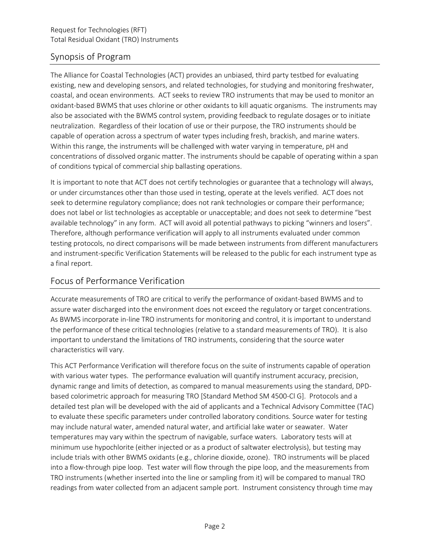# Synopsis of Program

The Alliance for Coastal Technologies (ACT) provides an unbiased, third party testbed for evaluating existing, new and developing sensors, and related technologies, for studying and monitoring freshwater, coastal, and ocean environments. ACT seeks to review TRO instruments that may be used to monitor an oxidant-based BWMS that uses chlorine or other oxidants to kill aquatic organisms. The instruments may also be associated with the BWMS control system, providing feedback to regulate dosages or to initiate neutralization. Regardless of their location of use or their purpose, the TRO instruments should be capable of operation across a spectrum of water types including fresh, brackish, and marine waters. Within this range, the instruments will be challenged with water varying in temperature, pH and concentrations of dissolved organic matter. The instruments should be capable of operating within a span of conditions typical of commercial ship ballasting operations.

It is important to note that ACT does not certify technologies or guarantee that a technology will always, or under circumstances other than those used in testing, operate at the levels verified. ACT does not seek to determine regulatory compliance; does not rank technologies or compare their performance; does not label or list technologies as acceptable or unacceptable; and does not seek to determine "best available technology" in any form. ACT will avoid all potential pathways to picking "winners and losers". Therefore, although performance verification will apply to all instruments evaluated under common testing protocols, no direct comparisons will be made between instruments from different manufacturers and instrument-specific Verification Statements will be released to the public for each instrument type as a final report.

# Focus of Performance Verification

Accurate measurements of TRO are critical to verify the performance of oxidant-based BWMS and to assure water discharged into the environment does not exceed the regulatory or target concentrations. As BWMS incorporate in-line TRO instruments for monitoring and control, it is important to understand the performance of these critical technologies (relative to a standard measurements of TRO). It is also important to understand the limitations of TRO instruments, considering that the source water characteristics will vary.

This ACT Performance Verification will therefore focus on the suite of instruments capable of operation with various water types. The performance evaluation will quantify instrument accuracy, precision, dynamic range and limits of detection, as compared to manual measurements using the standard, DPDbased colorimetric approach for measuring TRO [Standard Method SM 4500-Cl G]. Protocols and a detailed test plan will be developed with the aid of applicants and a Technical Advisory Committee (TAC) to evaluate these specific parameters under controlled laboratory conditions. Source water for testing may include natural water, amended natural water, and artificial lake water or seawater. Water temperatures may vary within the spectrum of navigable, surface waters. Laboratory tests will at minimum use hypochlorite (either injected or as a product of saltwater electrolysis), but testing may include trials with other BWMS oxidants (e.g., chlorine dioxide, ozone). TRO instruments will be placed into a flow-through pipe loop. Test water will flow through the pipe loop, and the measurements from TRO instruments (whether inserted into the line or sampling from it) will be compared to manual TRO readings from water collected from an adjacent sample port. Instrument consistency through time may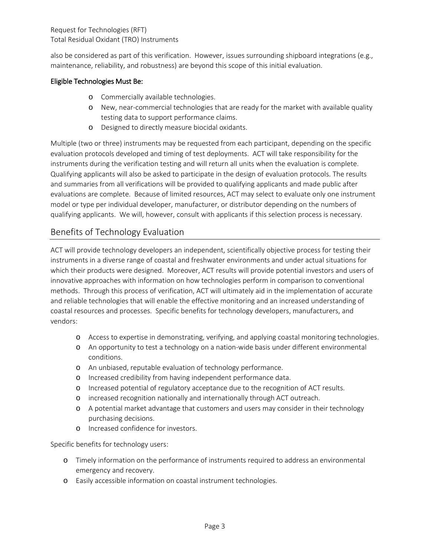Request for Technologies (RFT) Total Residual Oxidant (TRO) Instruments

also be considered as part of this verification. However, issues surrounding shipboard integrations (e.g., maintenance, reliability, and robustness) are beyond this scope of this initial evaluation.

#### Eligible Technologies Must Be:

- o Commercially available technologies.
- o New, near-commercial technologies that are ready for the market with available quality testing data to support performance claims.
- o Designed to directly measure biocidal oxidants.

Multiple (two or three) instruments may be requested from each participant, depending on the specific evaluation protocols developed and timing of test deployments. ACT will take responsibility for the instruments during the verification testing and will return all units when the evaluation is complete. Qualifying applicants will also be asked to participate in the design of evaluation protocols. The results and summaries from all verifications will be provided to qualifying applicants and made public after evaluations are complete. Because of limited resources, ACT may select to evaluate only one instrument model or type per individual developer, manufacturer, or distributor depending on the numbers of qualifying applicants. We will, however, consult with applicants if this selection process is necessary.

#### Benefits of Technology Evaluation

ACT will provide technology developers an independent, scientifically objective process for testing their instruments in a diverse range of coastal and freshwater environments and under actual situations for which their products were designed. Moreover, ACT results will provide potential investors and users of innovative approaches with information on how technologies perform in comparison to conventional methods. Through this process of verification, ACT will ultimately aid in the implementation of accurate and reliable technologies that will enable the effective monitoring and an increased understanding of coastal resources and processes. Specific benefits for technology developers, manufacturers, and vendors:

- o Access to expertise in demonstrating, verifying, and applying coastal monitoring technologies.
- o An opportunity to test a technology on a nation-wide basis under different environmental conditions.
- o An unbiased, reputable evaluation of technology performance.
- o Increased credibility from having independent performance data.
- o Increased potential of regulatory acceptance due to the recognition of ACT results.
- o increased recognition nationally and internationally through ACT outreach.
- o A potential market advantage that customers and users may consider in their technology purchasing decisions.
- o Increased confidence for investors.

Specific benefits for technology users:

- o Timely information on the performance of instruments required to address an environmental emergency and recovery.
- o Easily accessible information on coastal instrument technologies.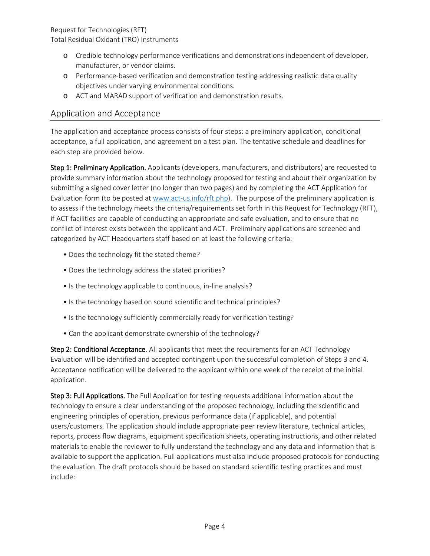Request for Technologies (RFT) Total Residual Oxidant (TRO) Instruments

- o Credible technology performance verifications and demonstrations independent of developer, manufacturer, or vendor claims.
- o Performance-based verification and demonstration testing addressing realistic data quality objectives under varying environmental conditions.
- o ACT and MARAD support of verification and demonstration results.

#### Application and Acceptance

The application and acceptance process consists of four steps: a preliminary application, conditional acceptance, a full application, and agreement on a test plan. The tentative schedule and deadlines for each step are provided below.

Step 1: Preliminary Application. Applicants (developers, manufacturers, and distributors) are requested to provide summary information about the technology proposed for testing and about their organization by submitting a signed cover letter (no longer than two pages) and by completing the ACT Application for Evaluation form (to be posted at [www.act-us.info/rft.php\)](http://www.act-us.info/rft.php). The purpose of the preliminary application is to assess if the technology meets the criteria/requirements set forth in this Request for Technology (RFT), if ACT facilities are capable of conducting an appropriate and safe evaluation, and to ensure that no conflict of interest exists between the applicant and ACT. Preliminary applications are screened and categorized by ACT Headquarters staff based on at least the following criteria:

- Does the technology fit the stated theme?
- Does the technology address the stated priorities?
- Is the technology applicable to continuous, in-line analysis?
- Is the technology based on sound scientific and technical principles?
- Is the technology sufficiently commercially ready for verification testing?
- Can the applicant demonstrate ownership of the technology?

Step 2: Conditional Acceptance. All applicants that meet the requirements for an ACT Technology Evaluation will be identified and accepted contingent upon the successful completion of Steps 3 and 4. Acceptance notification will be delivered to the applicant within one week of the receipt of the initial application.

Step 3: Full Applications. The Full Application for testing requests additional information about the technology to ensure a clear understanding of the proposed technology, including the scientific and engineering principles of operation, previous performance data (if applicable), and potential users/customers. The application should include appropriate peer review literature, technical articles, reports, process flow diagrams, equipment specification sheets, operating instructions, and other related materials to enable the reviewer to fully understand the technology and any data and information that is available to support the application. Full applications must also include proposed protocols for conducting the evaluation. The draft protocols should be based on standard scientific testing practices and must include: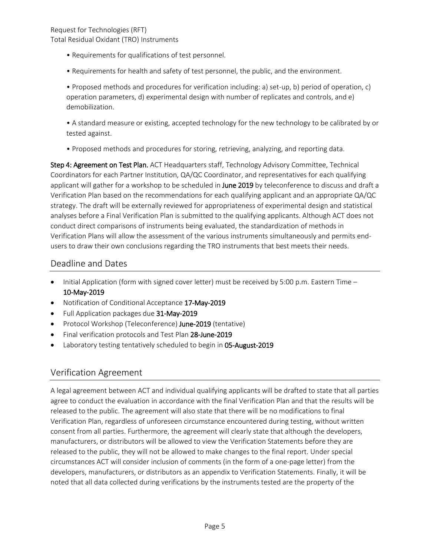- Requirements for qualifications of test personnel.
- Requirements for health and safety of test personnel, the public, and the environment.

• Proposed methods and procedures for verification including: a) set-up, b) period of operation, c) operation parameters, d) experimental design with number of replicates and controls, and e) demobilization.

• A standard measure or existing, accepted technology for the new technology to be calibrated by or tested against.

• Proposed methods and procedures for storing, retrieving, analyzing, and reporting data.

Step 4: Agreement on Test Plan. ACT Headquarters staff, Technology Advisory Committee, Technical Coordinators for each Partner Institution, QA/QC Coordinator, and representatives for each qualifying applicant will gather for a workshop to be scheduled in June 2019 by teleconference to discuss and draft a Verification Plan based on the recommendations for each qualifying applicant and an appropriate QA/QC strategy. The draft will be externally reviewed for appropriateness of experimental design and statistical analyses before a Final Verification Plan is submitted to the qualifying applicants. Although ACT does not conduct direct comparisons of instruments being evaluated, the standardization of methods in Verification Plans will allow the assessment of the various instruments simultaneously and permits endusers to draw their own conclusions regarding the TRO instruments that best meets their needs.

### Deadline and Dates

- Initial Application (form with signed cover letter) must be received by 5:00 p.m. Eastern Time 10-May-2019
- Notification of Conditional Acceptance 17-May-2019
- Full Application packages due 31-May-2019
- Protocol Workshop (Teleconference) June-2019 (tentative)
- Final verification protocols and Test Plan 28-June-2019
- Laboratory testing tentatively scheduled to begin in 05-August-2019

#### Verification Agreement

A legal agreement between ACT and individual qualifying applicants will be drafted to state that all parties agree to conduct the evaluation in accordance with the final Verification Plan and that the results will be released to the public. The agreement will also state that there will be no modifications to final Verification Plan, regardless of unforeseen circumstance encountered during testing, without written consent from all parties. Furthermore, the agreement will clearly state that although the developers, manufacturers, or distributors will be allowed to view the Verification Statements before they are released to the public, they will not be allowed to make changes to the final report. Under special circumstances ACT will consider inclusion of comments (in the form of a one-page letter) from the developers, manufacturers, or distributors as an appendix to Verification Statements. Finally, it will be noted that all data collected during verifications by the instruments tested are the property of the